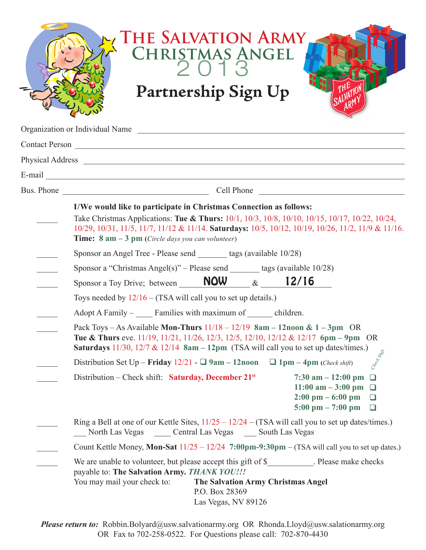| THE SALVATION ARMY<br>CHRISTMAS ANGEL<br>Partnership Sign Up                                                                                                                                                                                                                                                                                                                                               |
|------------------------------------------------------------------------------------------------------------------------------------------------------------------------------------------------------------------------------------------------------------------------------------------------------------------------------------------------------------------------------------------------------------|
| Organization or Individual Name                                                                                                                                                                                                                                                                                                                                                                            |
|                                                                                                                                                                                                                                                                                                                                                                                                            |
|                                                                                                                                                                                                                                                                                                                                                                                                            |
|                                                                                                                                                                                                                                                                                                                                                                                                            |
|                                                                                                                                                                                                                                                                                                                                                                                                            |
| I/We would like to participate in Christmas Connection as follows:<br>Take Christmas Applications: Tue & Thurs: 10/1, 10/3, 10/8, 10/10, 10/15, 10/17, 10/22, 10/24,<br>10/29, 10/31, 11/5, 11/7, 11/12 & 11/14. Saturdays: 10/5, 10/12, 10/19, 10/26, 11/2, 11/9 & 11/16.<br><b>Time:</b> $8 \text{ am} - 3 \text{ pm}$ (Circle days you can volunteer)                                                   |
| Sponsor an Angel Tree - Please send _______ tags (available 10/28)                                                                                                                                                                                                                                                                                                                                         |
| Sponsor a "Christmas Angel(s)" – Please send $\_\_\_\$ tags (available 10/28)                                                                                                                                                                                                                                                                                                                              |
| Sponsor a Toy Drive; between $\_\_$ NOW $\_\&\_\_$ 12/16                                                                                                                                                                                                                                                                                                                                                   |
| Toys needed by $12/16 - (TSA will call you to set up details.)$                                                                                                                                                                                                                                                                                                                                            |
| Adopt A Family – Families with maximum of comparison children.                                                                                                                                                                                                                                                                                                                                             |
| Pack Toys - As Available Mon-Thurs $11/18 - 12/19$ 8am - 12noon & 1 - 3pm OR<br><b>Tue &amp; Thurs</b> eve. 11/19, 11/21, 11/26, 12/3, 12/5, 12/10, 12/12 & 12/17 $6\text{pm} - 9\text{pm}$ OR<br><b>Saturdays</b> 11/30, 12/7 & 12/14 $8am - 12pm$ (TSA will call you to set up dates/times.)<br>Creek Strip<br>Distribution Set Up – Friday $12/21$ - $\Box$ 9am – 12noon $\Box$ 1pm – 4pm (Check shift) |
| Distribution – Check shift: Saturday, December 21 <sup>st</sup><br>$7:30$ am $-12:00$ pm<br>$\Box$<br>11:00 am $-3:00$ pm $\Box$<br>$2:00 \text{ pm} - 6:00 \text{ pm}$<br>❏<br>$5:00 \text{ pm} - 7:00 \text{ pm}$<br>$\Box$                                                                                                                                                                              |
| Ring a Bell at one of our Kettle Sites, $11/25 - 12/24 - (TSA will call you to set up dates/times.)$<br>North Las Vegas (Central Las Vegas (Central Las Vegas (Central Las Vegas (Central Las Vegas )                                                                                                                                                                                                      |
| Count Kettle Money, Mon-Sat $11/25 - 12/24$ 7:00pm-9:30pm – (TSA will call you to set up dates.)                                                                                                                                                                                                                                                                                                           |
| We are unable to volunteer, but please accept this gift of \$__________. Please make checks<br>payable to: The Salvation Army. THANK YOU !!!<br>You may mail your check to:<br>The Salvation Army Christmas Angel<br>P.O. Box 28369<br>Las Vegas, NV 89126                                                                                                                                                 |

*Please return to:* Robbin.Bolyard@usw.salvationarmy.org OR Rhonda.Lloyd@usw.salationarmy.org OR Fax to 702-258-0522. For Questions please call: 702-870-4430